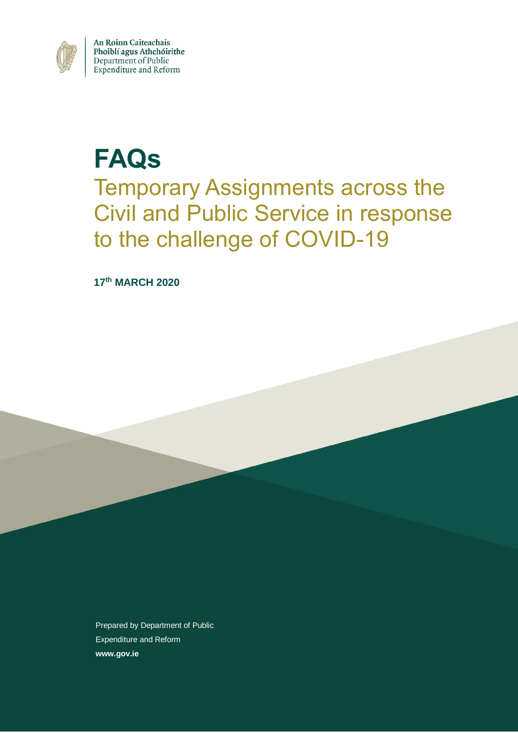

An Roinn Caiteachais<br>Phoiblí agus Athchóirithe<br>Department of Public Expenditure and Reform

# **FAQs** Temporary Assignments across the Civil and Public Service in response to the challenge of COVID-19

**17th MARCH 2020**

Prepared by Department of Public Expenditure and Reform **www.gov.ie**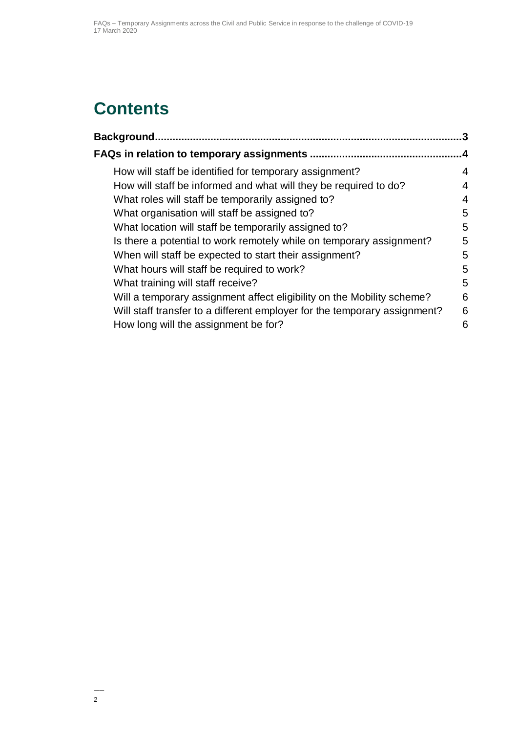## **Contents**

| Background<br>                                                            | 3         |
|---------------------------------------------------------------------------|-----------|
|                                                                           | $\cdot$ 4 |
| How will staff be identified for temporary assignment?                    | 4         |
| How will staff be informed and what will they be required to do?          | 4         |
| What roles will staff be temporarily assigned to?                         | 4         |
| What organisation will staff be assigned to?                              | 5         |
| What location will staff be temporarily assigned to?                      | 5         |
| Is there a potential to work remotely while on temporary assignment?      | 5         |
| When will staff be expected to start their assignment?                    | 5         |
| What hours will staff be required to work?                                | 5         |
| What training will staff receive?                                         | 5         |
| Will a temporary assignment affect eligibility on the Mobility scheme?    | 6         |
| Will staff transfer to a different employer for the temporary assignment? | 6         |
| How long will the assignment be for?                                      | 6         |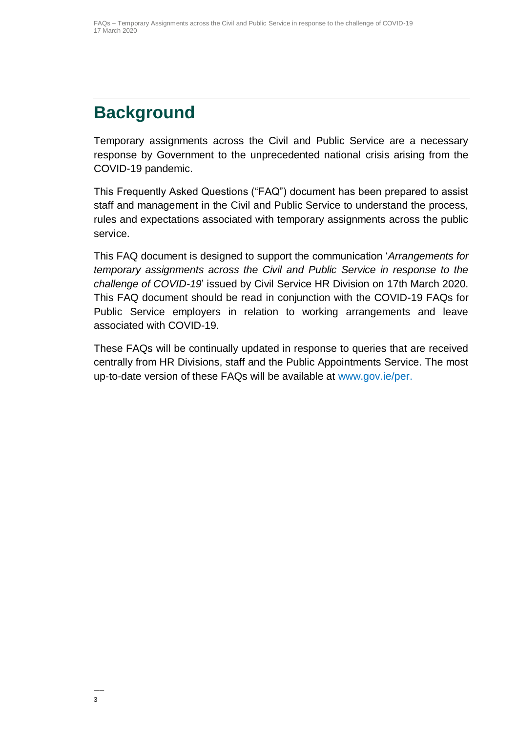## <span id="page-2-0"></span>**Background**

Temporary assignments across the Civil and Public Service are a necessary response by Government to the unprecedented national crisis arising from the COVID-19 pandemic.

This Frequently Asked Questions ("FAQ") document has been prepared to assist staff and management in the Civil and Public Service to understand the process, rules and expectations associated with temporary assignments across the public service.

This FAQ document is designed to support the communication '*Arrangements for temporary assignments across the Civil and Public Service in response to the challenge of COVID-19*' issued by Civil Service HR Division on 17th March 2020. This FAQ document should be read in conjunction with the COVID-19 FAQs for Public Service employers in relation to working arrangements and leave associated with COVID-19.

These FAQs will be continually updated in response to queries that are received centrally from HR Divisions, staff and the Public Appointments Service. The most up-to-date version of these FAQs will be available at www.gov.ie/per.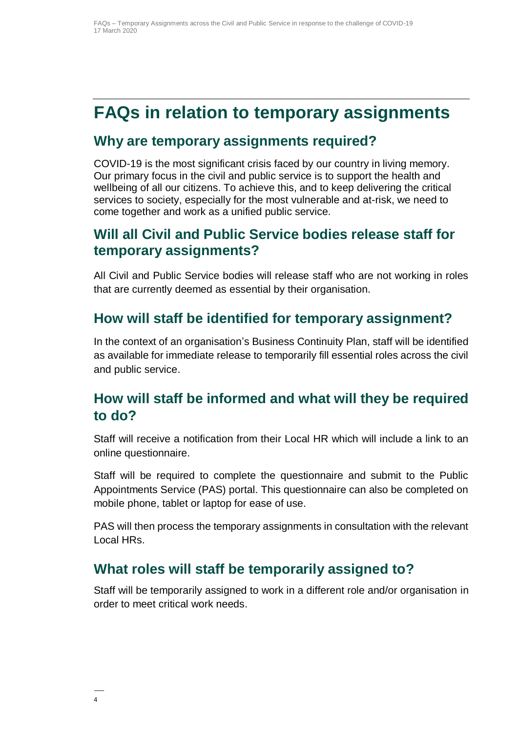### <span id="page-3-0"></span>**FAQs in relation to temporary assignments**

#### **Why are temporary assignments required?**

COVID-19 is the most significant crisis faced by our country in living memory. Our primary focus in the civil and public service is to support the health and wellbeing of all our citizens. To achieve this, and to keep delivering the critical services to society, especially for the most vulnerable and at-risk, we need to come together and work as a unified public service.

#### **Will all Civil and Public Service bodies release staff for temporary assignments?**

All Civil and Public Service bodies will release staff who are not working in roles that are currently deemed as essential by their organisation.

#### <span id="page-3-1"></span>**How will staff be identified for temporary assignment?**

In the context of an organisation's Business Continuity Plan, staff will be identified as available for immediate release to temporarily fill essential roles across the civil and public service.

#### <span id="page-3-2"></span>**How will staff be informed and what will they be required to do?**

Staff will receive a notification from their Local HR which will include a link to an online questionnaire.

Staff will be required to complete the questionnaire and submit to the Public Appointments Service (PAS) portal. This questionnaire can also be completed on mobile phone, tablet or laptop for ease of use.

PAS will then process the temporary assignments in consultation with the relevant Local HRs.

#### <span id="page-3-3"></span>**What roles will staff be temporarily assigned to?**

Staff will be temporarily assigned to work in a different role and/or organisation in order to meet critical work needs.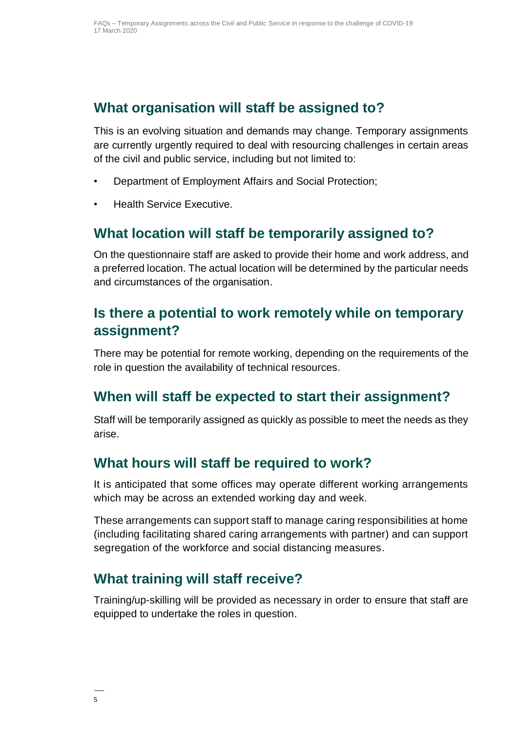#### <span id="page-4-0"></span>**What organisation will staff be assigned to?**

This is an evolving situation and demands may change. Temporary assignments are currently urgently required to deal with resourcing challenges in certain areas of the civil and public service, including but not limited to:

- Department of Employment Affairs and Social Protection;
- Health Service Executive.

#### <span id="page-4-1"></span>**What location will staff be temporarily assigned to?**

On the questionnaire staff are asked to provide their home and work address, and a preferred location. The actual location will be determined by the particular needs and circumstances of the organisation.

#### <span id="page-4-2"></span>**Is there a potential to work remotely while on temporary assignment?**

There may be potential for remote working, depending on the requirements of the role in question the availability of technical resources.

#### <span id="page-4-3"></span>**When will staff be expected to start their assignment?**

Staff will be temporarily assigned as quickly as possible to meet the needs as they arise.

#### <span id="page-4-4"></span>**What hours will staff be required to work?**

It is anticipated that some offices may operate different working arrangements which may be across an extended working day and week.

These arrangements can support staff to manage caring responsibilities at home (including facilitating shared caring arrangements with partner) and can support segregation of the workforce and social distancing measures.

#### <span id="page-4-5"></span>**What training will staff receive?**

Training/up-skilling will be provided as necessary in order to ensure that staff are equipped to undertake the roles in question.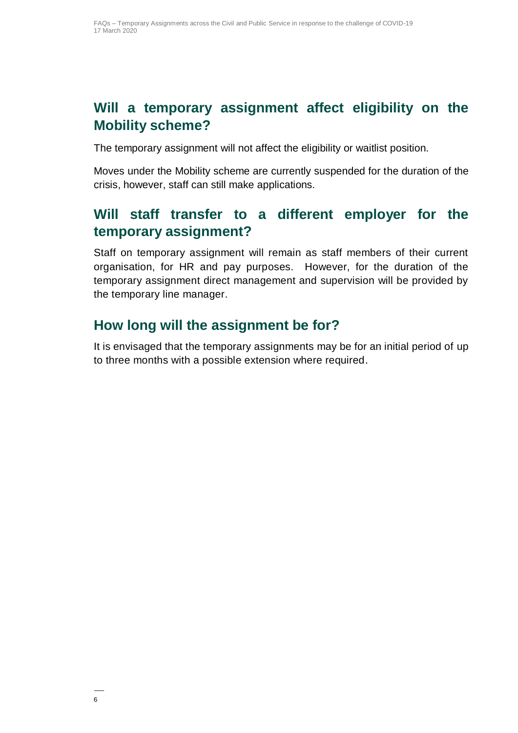#### <span id="page-5-0"></span>**Will a temporary assignment affect eligibility on the Mobility scheme?**

The temporary assignment will not affect the eligibility or waitlist position.

Moves under the Mobility scheme are currently suspended for the duration of the crisis, however, staff can still make applications.

#### <span id="page-5-1"></span>**Will staff transfer to a different employer for the temporary assignment?**

Staff on temporary assignment will remain as staff members of their current organisation, for HR and pay purposes. However, for the duration of the temporary assignment direct management and supervision will be provided by the temporary line manager.

#### <span id="page-5-2"></span>**How long will the assignment be for?**

It is envisaged that the temporary assignments may be for an initial period of up to three months with a possible extension where required.